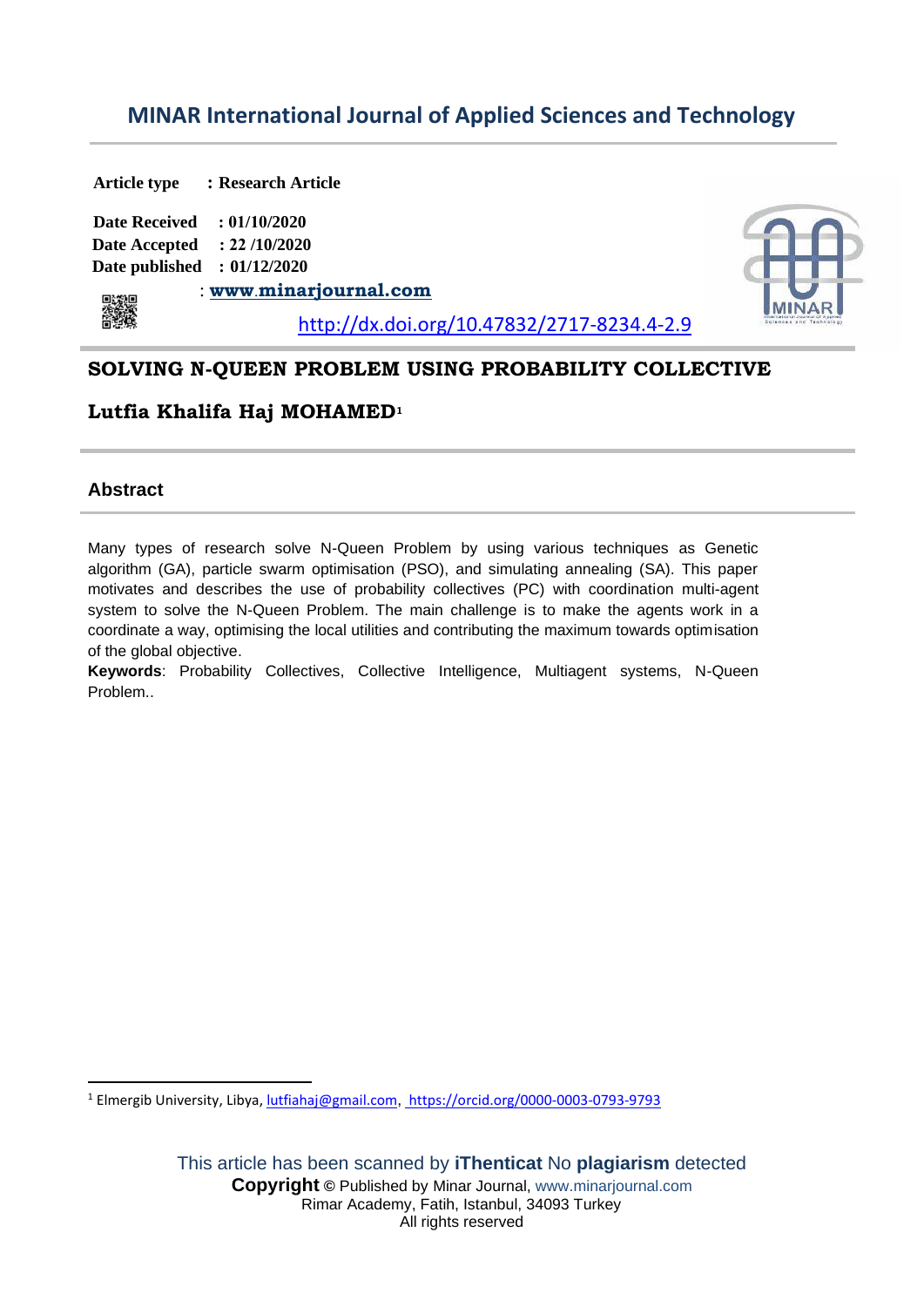# **MINAR International Journal of Applied Sciences and Technology**

**Article type : Research Article Date Received : 01/10/2020 Date Accepted : 22 /10/2020 Date published : 01/12/2020** : **[www](http://www.ijler.net/)**[.](http://www.ijler.net/)**[m](http://www.ijler.net/)inarjournal.com** 籲 http://dx.doi.org/10.47832/2717-8234.4-2.9

## **SOLVING N-QUEEN PROBLEM USING PROBABILITY COLLECTIVE**

## **Lutfia Khalifa Haj MOHAMED<sup>1</sup>**

## **Abstract**

Many types of research solve N-Queen Problem by using various techniques as Genetic algorithm (GA), particle swarm optimisation (PSO), and simulating annealing (SA). This paper motivates and describes the use of probability collectives (PC) with coordination multi-agent system to solve the N-Queen Problem. The main challenge is to make the agents work in a coordinate a way, optimising the local utilities and contributing the maximum towards optimisation of the global objective.

**Keywords**: Probability Collectives, Collective Intelligence, Multiagent systems, N-Queen Problem..

<sup>1</sup> Elmergib University, Libya, *lutfiahaj@gmail.com*, https://orcid.org/0000-0003-0793-9793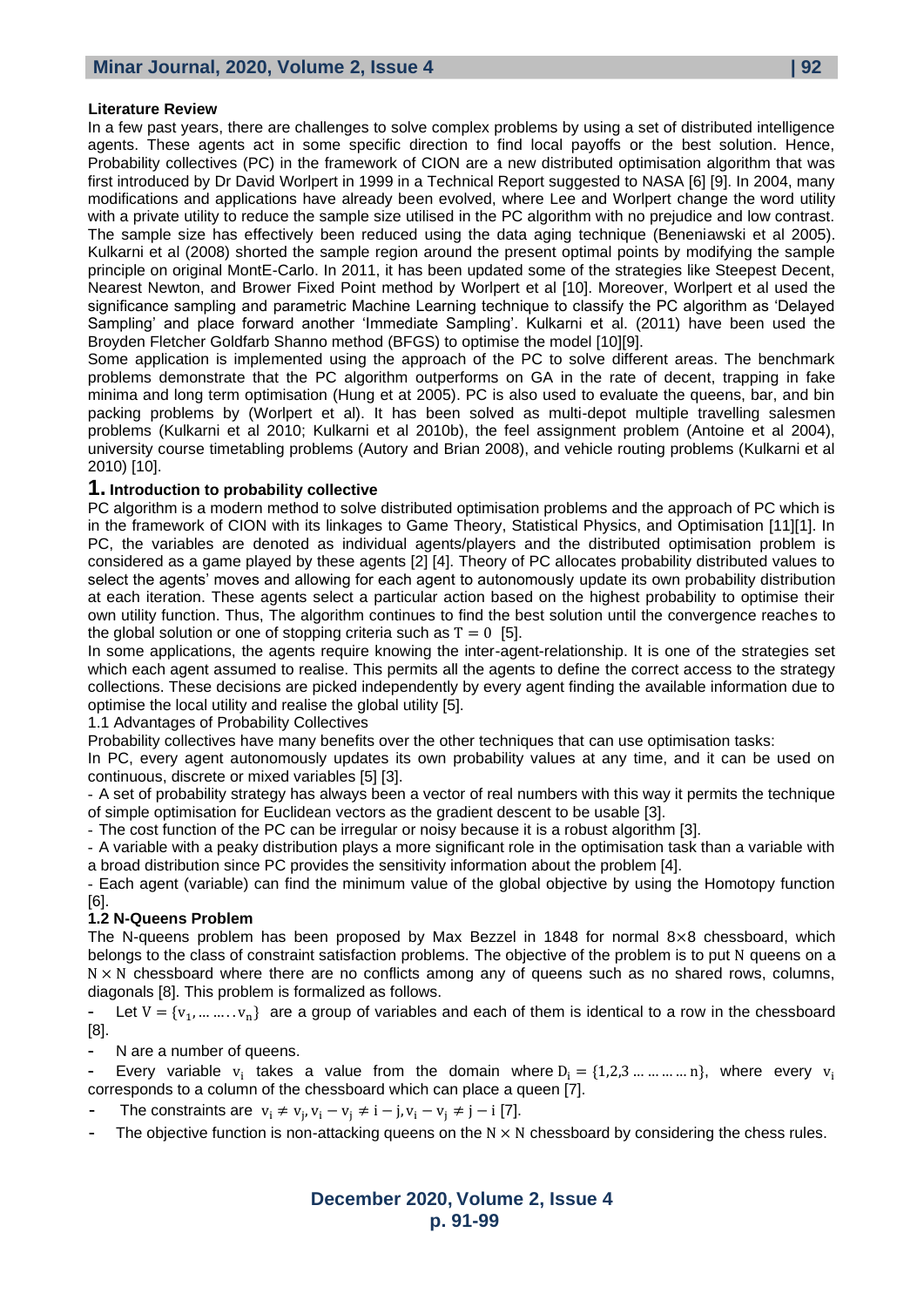#### **Literature Review**

In a few past years, there are challenges to solve complex problems by using a set of distributed intelligence agents. These agents act in some specific direction to find local payoffs or the best solution. Hence, Probability collectives (PC) in the framework of CION are a new distributed optimisation algorithm that was first introduced by Dr David Worlpert in 1999 in a Technical Report suggested to NASA [6] [9]. In 2004, many modifications and applications have already been evolved, where Lee and Worlpert change the word utility with a private utility to reduce the sample size utilised in the PC algorithm with no prejudice and low contrast. The sample size has effectively been reduced using the data aging technique (Beneniawski et al 2005). Kulkarni et al (2008) shorted the sample region around the present optimal points by modifying the sample principle on original MontE-Carlo. In 2011, it has been updated some of the strategies like Steepest Decent, Nearest Newton, and Brower Fixed Point method by Worlpert et al [10]. Moreover, Worlpert et al used the significance sampling and parametric Machine Learning technique to classify the PC algorithm as 'Delayed Sampling' and place forward another 'Immediate Sampling'. Kulkarni et al. (2011) have been used the Broyden Fletcher Goldfarb Shanno method (BFGS) to optimise the model [10][9].

Some application is implemented using the approach of the PC to solve different areas. The benchmark problems demonstrate that the PC algorithm outperforms on GA in the rate of decent, trapping in fake minima and long term optimisation (Hung et at 2005). PC is also used to evaluate the queens, bar, and bin packing problems by (Worlpert et al). It has been solved as multi-depot multiple travelling salesmen problems (Kulkarni et al 2010; Kulkarni et al 2010b), the feel assignment problem (Antoine et al 2004), university course timetabling problems (Autory and Brian 2008), and vehicle routing problems (Kulkarni et al 2010) [10].

#### **1. Introduction to probability collective**

PC algorithm is a modern method to solve distributed optimisation problems and the approach of PC which is in the framework of CION with its linkages to Game Theory, Statistical Physics, and Optimisation [11][1]. In PC, the variables are denoted as individual agents/players and the distributed optimisation problem is considered as a game played by these agents [2] [4]. Theory of PC allocates probability distributed values to select the agents' moves and allowing for each agent to autonomously update its own probability distribution at each iteration. These agents select a particular action based on the highest probability to optimise their own utility function. Thus, The algorithm continues to find the best solution until the convergence reaches to the global solution or one of stopping criteria such as  $T = 0$  [5].

In some applications, the agents require knowing the inter-agent-relationship. It is one of the strategies set which each agent assumed to realise. This permits all the agents to define the correct access to the strategy collections. These decisions are picked independently by every agent finding the available information due to optimise the local utility and realise the global utility [5].

1.1 Advantages of Probability Collectives

Probability collectives have many benefits over the other techniques that can use optimisation tasks:

In PC, every agent autonomously updates its own probability values at any time, and it can be used on continuous, discrete or mixed variables [5] [3].

- A set of probability strategy has always been a vector of real numbers with this way it permits the technique of simple optimisation for Euclidean vectors as the gradient descent to be usable [3].

- The cost function of the PC can be irregular or noisy because it is a robust algorithm [3].

- A variable with a peaky distribution plays a more significant role in the optimisation task than a variable with a broad distribution since PC provides the sensitivity information about the problem [4].

- Each agent (variable) can find the minimum value of the global objective by using the Homotopy function [6].

### **1.2 N-Queens Problem**

The N-queens problem has been proposed by Max Bezzel in 1848 for normal 8×8 chessboard, which belongs to the class of constraint satisfaction problems. The objective of the problem is to put N queens on a  $N \times N$  chessboard where there are no conflicts among any of queens such as no shared rows, columns, diagonals [8]. This problem is formalized as follows.

- Let  $V = \{v_1, \dots, v_n\}$  are a group of variables and each of them is identical to a row in the chessboard [8].

**-** N are a number of queens.

- Every variable  $v_i$  takes a value from the domain where  $D_i = \{1,2,3 \ldots \ldots \ldots \ldots \}$ , where every  $v_i$ corresponds to a column of the chessboard which can place a queen [7].

**-** The constraints are  $v_i \neq v_j$ ,  $v_i - v_j \neq i - j$ ,  $v_i - v_j \neq j - i$  [7].

**-** The objective function is non-attacking queens on the N × N chessboard by considering the chess rules.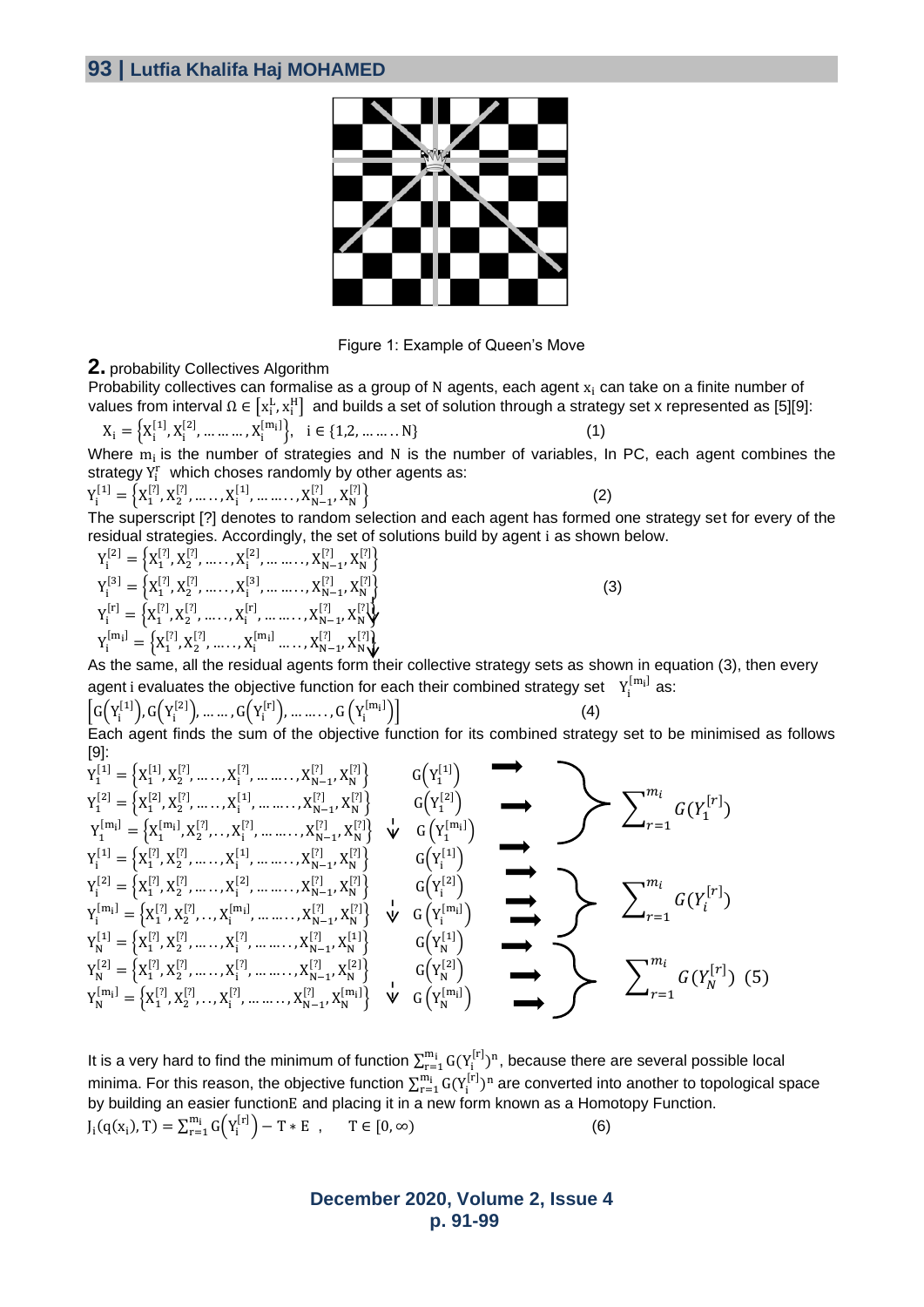

Figure 1: Example of Queen's Move

#### **2.** probability Collectives Algorithm

Probability collectives can formalise as a group of N agents, each agent  $x_i$  can take on a finite number of values from interval  $\Omega\in\left[x_i^L,x_i^H\right]$  and builds a set of solution through a strategy set x represented as [5][9]:

$$
X_{i} = \left\{ X_{i}^{[1]}, X_{i}^{[2]}, \dots \dots \dots, X_{i}^{[m_{i}]} \right\}, \quad i \in \{1, 2, \dots \dots \dots N\}
$$
 (1)

Where 
$$
m_i
$$
 is the number of strategies and N is the number of variables, In PC, each agent combines the strategy  $Y_i^r$  which chooses randomly by other agents as:

$$
Y_{i}^{[1]} = \left\{ X_{1}^{[2]}, X_{2}^{[2]}, \dots, X_{i}^{[1]}, \dots, X_{N-1}^{[2]}, X_{N}^{[2]} \right\}
$$
 (2)

The superscript [?] denotes to random selection and each agent has formed one strategy set for every of the residual strategies. Accordingly, the set of solutions build by agent i as shown below.

$$
\begin{aligned} Y_i^{[2]} &= \left\{X_1^{[7]}, X_2^{[7]}, \dots \dots, X_i^{[2]}, \dots \dots, X_{N-1}^{[7]}, X_N^{[7]}\right\} \\ Y_i^{[3]} &= \left\{X_1^{[7]}, X_2^{[7]}, \dots \dots, X_i^{[3]}, \dots \dots, X_{N-1}^{[7]}, X_N^{[7]}\right\} \\ Y_i^{[r]} &= \left\{X_1^{[7]}, X_2^{[7]}, \dots \dots, X_i^{[r]}, \dots \dots, X_{N-1}^{[7]}, X_N^{[7]}\right\} \\ Y_i^{[m_i]} &= \left\{X_1^{[7]}, X_2^{[7]}, \dots \dots, X_i^{[m_i]} \dots \dots, X_{N-1}^{[7]}, X_N^{[7]}\right\} \end{aligned}
$$

 $\{$  (3)

As the same, all the residual agents form their collective strategy sets as shown in equation (3), then every agent i evaluates the objective function for each their combined strategy set  $Y_i^{[m_i]}$  as:

 $G(Y_i^{[1]}), G(Y_i^{[2]}), ..., G(Y_i^{[r]}), ..., ..., G(Y_i^{[m_i]})$ )  $(4)$ 

Each agent finds the sum of the objective function for its combined strategy set to be minimised as follows [9]:

$$
Y_1^{[1]} = \left\{X_1^{[1]}, X_2^{[2]}, \dots, X_i^{[2]}, \dots, X_{N-1}^{[2]}, X_N^{[2]}\right\} \quad G\left(Y_1^{[1]}\right)
$$
\n
$$
Y_1^{[2]} = \left\{X_1^{[2]}, X_2^{[2]}, \dots, X_i^{[1]}, \dots, X_{N-1}^{[2]}, X_N^{[2]}\right\} \quad G\left(Y_1^{[2]}\right)
$$
\n
$$
Y_1^{[m]} = \left\{X_1^{[n]}, X_2^{[2]}, \dots, X_i^{[1]}, \dots, X_{N-1}^{[2]}, X_N^{[2]}\right\} \quad G\left(Y_1^{[m]} \right)
$$
\n
$$
Y_1^{[2]} = \left\{X_1^{[2]}, X_2^{[2]}, \dots, X_i^{[2]}, \dots, X_{N-1}^{[2]}, X_N^{[2]}\right\} \quad G\left(Y_1^{[1]}\right)
$$
\n
$$
Y_1^{[m]} = \left\{X_1^{[2]}, X_2^{[2]}, \dots, X_i^{[2]}, \dots, X_{N-1}^{[2]}, X_N^{[2]}\right\} \quad G\left(Y_1^{[1]}\right)
$$
\n
$$
Y_N^{[m]} = \left\{X_1^{[2]}, X_2^{[2]}, \dots, X_i^{[n]}, \dots, X_{N-1}^{[2]}, X_N^{[2]}\right\} \quad G\left(Y_1^{[n]}\right)
$$
\n
$$
Y_N^{[2]} = \left\{X_1^{[2]}, X_2^{[2]}, \dots, X_i^{[2]}, \dots, X_{N-1}^{[2]}, X_N^{[2]}\right\} \quad G\left(Y_N^{[1]}\right)
$$
\n
$$
Y_N^{[m]} = \left\{X_1^{[2]}, X_2^{[2]}, \dots, X_i^{[2]}, \dots, X_{N-1}^{[2]}, X_N^{[2]}\right\} \quad G\left(Y_N^{[2]}\right)
$$
\n
$$
Y_N^{[m_1]} = \left\{X_1^{[2]}, X_2^{[2]}, \dots, X_i^{[2]}, \dots, X_{N-1}^{[2]}, X_N^{[m_1]}\right\} \quad \psi \quad G\left(Y_N^{[m_1]}\right)
$$
\n
$$
Y_N^{[m_1]} = \left\{X_1^{[
$$

It is a very hard to find the minimum of function  $\sum_{r=1}^{m_i} G(Y_i^{[r]})^n$ , because there are several possible local minima. For this reason, the objective function  $\sum_{r=1}^{m_i} G(Y_i^{[r]})^n$  are converted into another to topological space by building an easier functionE and placing it in a new form known as a Homotopy Function.  $J_i(q(x_i), T) = \sum_{r=1}^{m_i} G(Y_i^{[r]}) - T * E$ ,  $T \in [0, \infty)$  (6)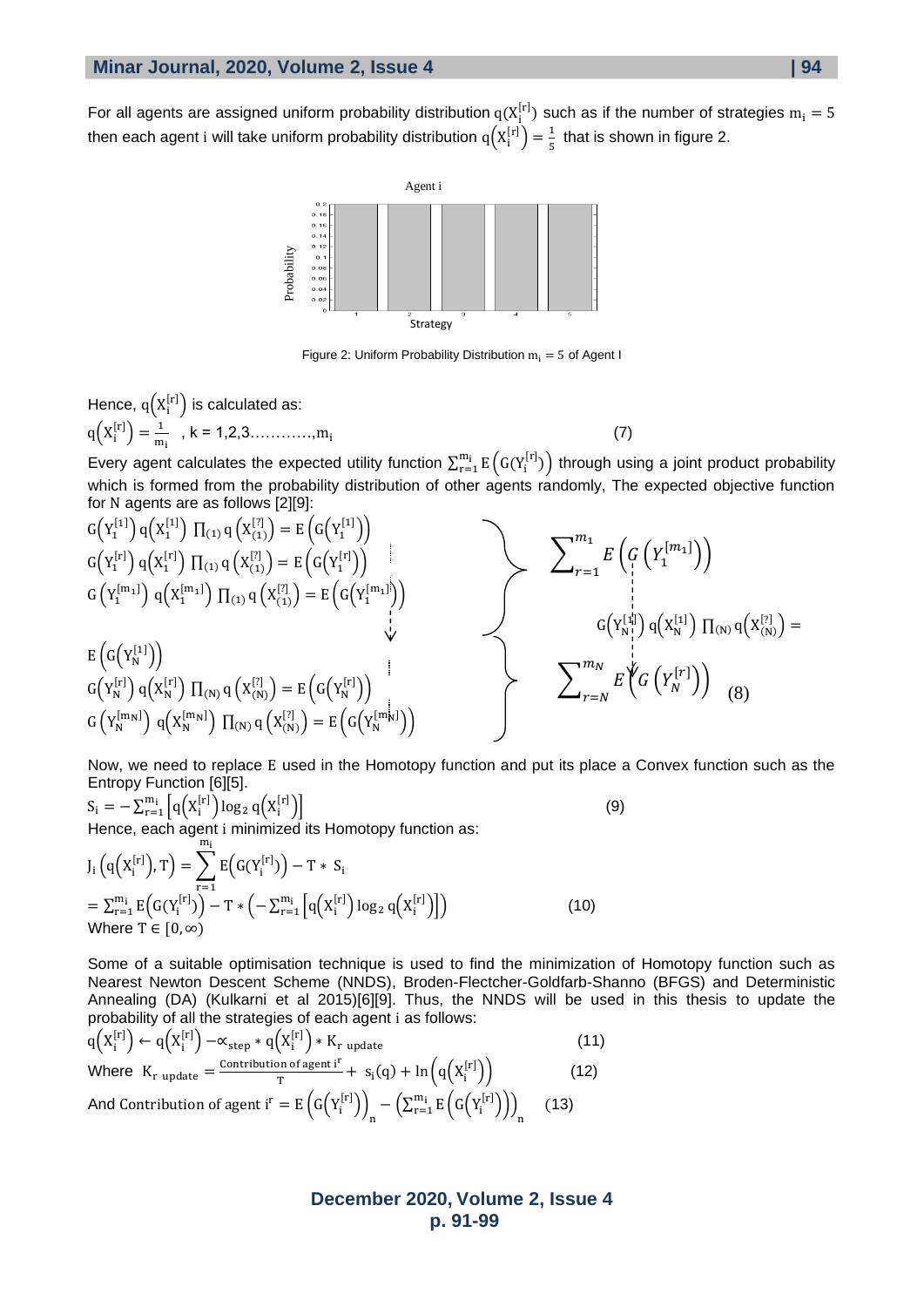For all agents are assigned uniform probability distribution  $q(X_i^{[r]})$  such as if the number of strategies  $m_i = 5$ then each agent i will take uniform probability distribution  $q\!\left(X_i^{[r]}\right) = \frac{1}{5}$  $\frac{1}{5}$  that is shown in figure 2.



Figure 2: Uniform Probability Distribution  $m_i = 5$  of Agent I

Hence,  $q(X_i^{[r]})$  is calculated as:  $q(X_i^{[r]}) = \frac{1}{m}$  $\frac{1}{m_i}$ , k = 1,2,3..............,m<sub>i</sub> (7)

Every agent calculates the expected utility function  $\sum_{r=1}^{m_i} E(G(Y_i^{[r]}))$  through using a joint product probability which is formed from the probability distribution of other agents randomly, The expected objective function for N agents are as follows [2][9]:

$$
G(Y_1^{[1]}) q(X_1^{[1]}) \Pi_{(1)} q(X_2^{[2]}) = E(G(Y_1^{[1]}))
$$
  
\n
$$
G(Y_1^{[m_1]}) q(X_1^{[m_1]}) \Pi_{(1)} q(X_2^{[2]}) = E(G(Y_1^{[m_1]}))
$$
  
\n
$$
G(Y_1^{[m_1]}) q(X_1^{[m_1]}) \Pi_{(1)} q(X_{(1)}^{[2]}) = E(G(Y_1^{[m_1]}))
$$
  
\n
$$
G(Y_N^{[1]}) q(X_N^{[1]}) \Pi_{(N)} q(X_{(N)}^{[2]}) = E(G(Y_N^{[1]}))
$$
  
\n
$$
G(Y_N^{[1]}) q(X_N^{[1]}) \Pi_{(N)} q(X_N^{[2]}) = E(G(Y_N^{[1]}))
$$
  
\n
$$
G(Y_N^{[1]}) q(X_N^{[1]}) \Pi_{(N)} q(X_N^{[2]}) = E(G(Y_N^{[1]}))
$$
  
\n
$$
G(Y_N^{[1]}) q(X_N^{[1]}) \Pi_{(N)} q(X_N^{[2]}) = E(G(Y_N^{[1]}))
$$
  
\n
$$
G(Y_N^{[1]}) q(X_N^{[1]}) \Pi_{(N)} q(X_N^{[2]}) = E(G(Y_N^{[1]}))
$$
  
\n
$$
G(Y_N^{[1]}) q(X_N^{[1]}) \Pi_{(N)} q(X_N^{[2]}) = E(G(Y_N^{[1]}))
$$
  
\n
$$
G(Y_N^{[1]}) q(X_N^{[1]}) \Pi_{(N)} q(X_N^{[2]}) = E(G(Y_N^{[1]}))
$$
  
\n
$$
G(Y_N^{[1]}) q(X_N^{[1]}) \Pi_{(N)} q(X_N^{[2]}) = E(G(Y_N^{[1]}))
$$
  
\n
$$
G(Y_N^{[1]}) q(X_N^{[1]}) \Pi_{(N)} q(X_N^{[2]}) = E(G(Y_N^{[1]}))
$$
  
\n
$$
G(Y_N^{[1]}) q(X_N^{[1]}) \Pi_{(N)} q(X_N^{[2]}) = E(G(Y_N^{[1]}))
$$
  
\n
$$
G(Y_N^{[1]}) q(X_N^{[1]}) \Pi_{(N)} q(X_N^{[2]}) = E(G(Y_N^{[1]}))
$$
  
\n
$$
G(Y
$$

Now, we need to replace E used in the Homotopy function and put its place a Convex function such as the Entropy Function [6][5].

$$
S_i = -\sum_{r=1}^{m_i} \left[ q\left(X_i^{[r]}\right) \log_2 q\left(X_i^{[r]}\right) \right]
$$
\nHence, each agent is minimized, the Hermitian equation,  $f(x_i) = f(x_i)$  (9)

Hence, each agent i minimized its Homotopy function as: mi

$$
J_i\left(q(X_i^{[r]})\!,T\right) = \sum_{r=1}^{r=1} E\left(G(Y_i^{[r]})\right) - T * S_i
$$
\n
$$
= \sum_{r=1}^{m_i} E\left(G(Y_i^{[r]})\right) - T * \left(-\sum_{r=1}^{m_i} \left[q(X_i^{[r]})\log_2 q(X_i^{[r]})\right]\right)
$$
\nWhere  $T \in [0,\infty)$  (10)

Some of a suitable optimisation technique is used to find the minimization of Homotopy function such as Nearest Newton Descent Scheme (NNDS), Broden-Flectcher-Goldfarb-Shanno (BFGS) and Deterministic Annealing (DA) (Kulkarni et al 2015)[6][9]. Thus, the NNDS will be used in this thesis to update the probability of all the strategies of each agent i as follows:

$$
q(X_i^{[r]}) \leftarrow q(X_i^{[r]}) - \alpha_{step} * q(X_i^{[r]}) * K_{r \text{ update}}
$$
\nWhere  $K_{r \text{ update}} = \frac{\text{Contribution of agent i}^r}{r} + s_i(q) + \ln(q(X_i^{[r]}))$  (12)

\nAnd Continution of agent i<sup>r</sup> = E\left(G(Y\_i^{[r]})\right)\_n - \left(\sum\_{r=1}^{m\_i} E\left(G(Y\_i^{[r]})\right)\right)\_n (13)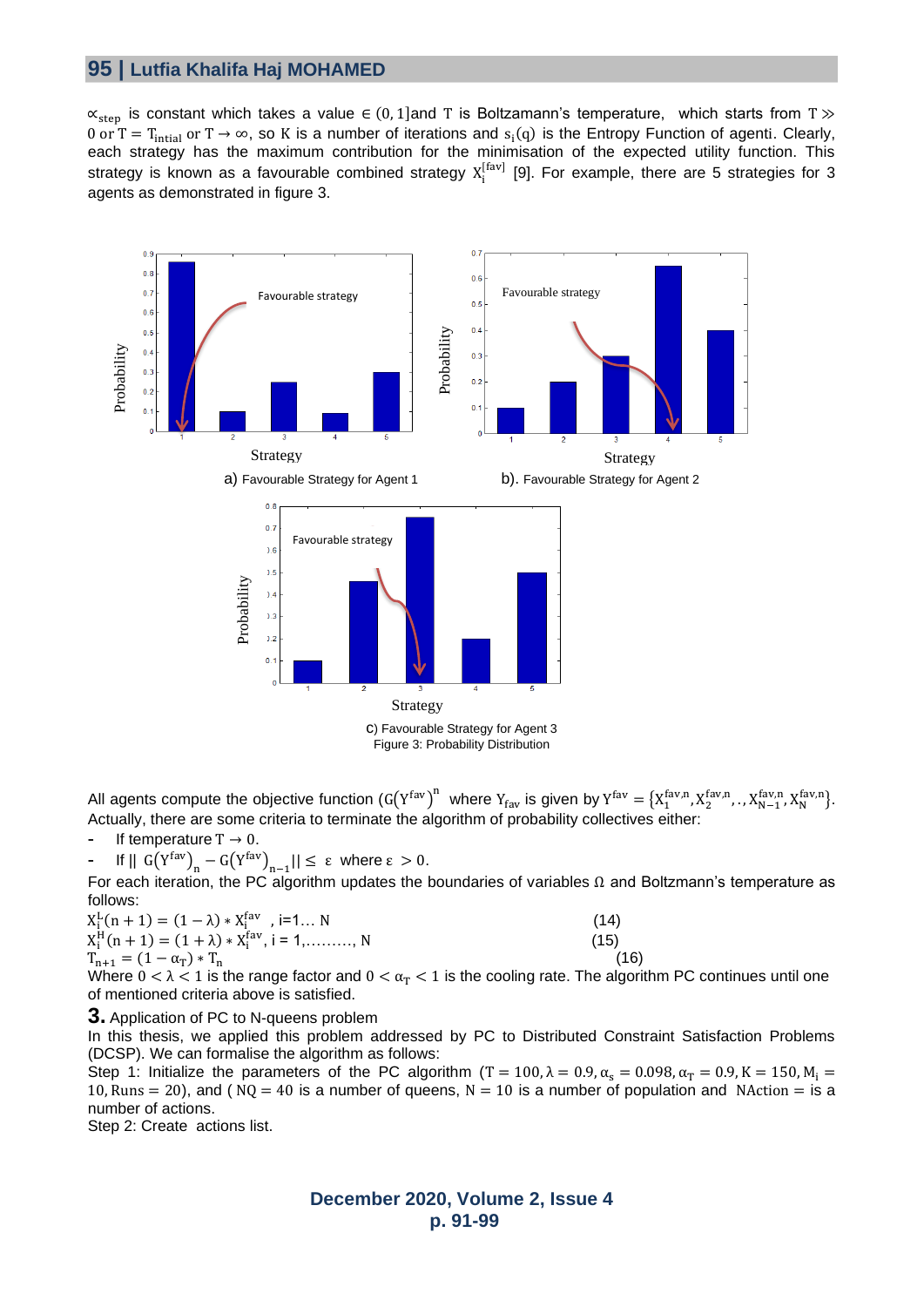## **95 | Lutfia Khalifa Haj MOHAMED**

 $\alpha_{step}$  is constant which takes a value  $\epsilon$  (0, 1]and T is Boltzamann's temperature, which starts from T  $\gg$ 0 or T = T<sub>intial</sub> or T → ∞, so K is a number of iterations and  $s_i(q)$  is the Entropy Function of agenti. Clearly, each strategy has the maximum contribution for the minimisation of the expected utility function. This strategy is known as a favourable combined strategy  $X_i^{[far]}$  [9]. For example, there are 5 strategies for 3 agents as demonstrated in figure 3.



All agents compute the objective function  $(G(Y^{fav})^n$  where  $Y_{fav}$  is given by  $Y^{fav} = {X_1^{fav,n}, X_2^{fav,n}, X_{N-1}^{fav,n}, X_N^{fav,n} \}$ . Actually, there are some criteria to terminate the algorithm of probability collectives either:

If temperature  $T \rightarrow 0$ .

 $\mathsf{F} \parallel \mathsf{G}(\mathsf{Y}^{\text{fav}})_{\mathsf{n}} - \mathsf{G}(\mathsf{Y}^{\text{fav}})_{\mathsf{n}-1} \mathsf{I} \leq \varepsilon \mathsf{ where } \varepsilon > 0.$ 

For each iteration, the PC algorithm updates the boundaries of variables  $\Omega$  and Boltzmann's temperature as follows:

$$
X_i^L(n + 1) = (1 - \lambda) * X_i^{fav}, i = 1... N
$$
  
\n
$$
X_i^H(n + 1) = (1 + \lambda) * X_i^{fav}, i = 1, ......... N
$$
  
\n
$$
T_{n+1} = (1 - \alpha_T) * T_n
$$
\n(16)

Where  $0 < \lambda < 1$  is the range factor and  $0 < \alpha_T < 1$  is the cooling rate. The algorithm PC continues until one of mentioned criteria above is satisfied.

#### **3.** Application of PC to N-queens problem

In this thesis, we applied this problem addressed by PC to Distributed Constraint Satisfaction Problems (DCSP). We can formalise the algorithm as follows:

Step 1: Initialize the parameters of the PC algorithm (T = 100,  $\lambda = 0.9$ ,  $\alpha_s = 0.098$ ,  $\alpha_T = 0.9$ , K = 150, M<sub>i</sub> = 10, Runs = 20), and ( $NQ = 40$  is a number of queens,  $N = 10$  is a number of population and NAction = is a number of actions.

Step 2: Create actions list.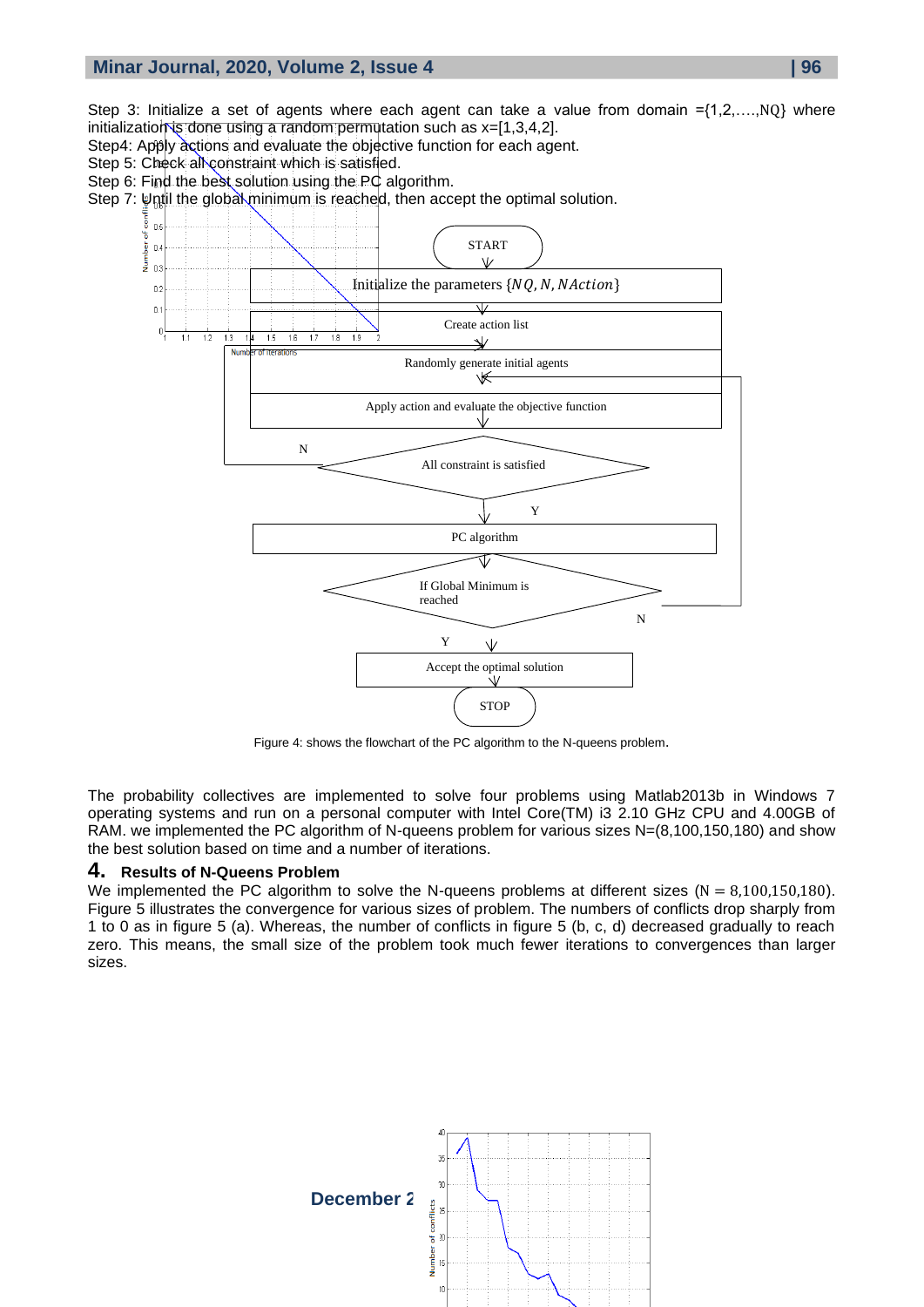Step 3: Initialize a set of agents where each agent can take a value from domain ={1,2,....,NQ} where initialization is done using a random permutation such as  $x=[1,3,4,2]$ .

- Step4: Apply actions and evaluate the objective function for each agent.
- Step 5: Check all constraint which is satisfied.

ber

- Step 6: Find the best solution using the PC algorithm.
- Step 7: Until the global minimum is reached, then accept the optimal solution.



Figure 4: shows the flowchart of the PC algorithm to the N-queens problem.

The probability collectives are implemented to solve four problems using Matlab2013b in Windows 7 operating systems and run on a personal computer with Intel Core(TM) i3 2.10 GHz CPU and 4.00GB of RAM. we implemented the PC algorithm of N-queens problem for various sizes N=(8,100,150,180) and show the best solution based on time and a number of iterations.

### **4. Results of N-Queens Problem**

We implemented the PC algorithm to solve the N-queens problems at different sizes ( $N = 8,100,150,180$ ). Figure 5 illustrates the convergence for various sizes of problem. The numbers of conflicts drop sharply from 1 to 0 as in figure 5 (a). Whereas, the number of conflicts in figure 5 (b, c, d) decreased gradually to reach zero. This means, the small size of the problem took much fewer iterations to convergences than larger sizes.

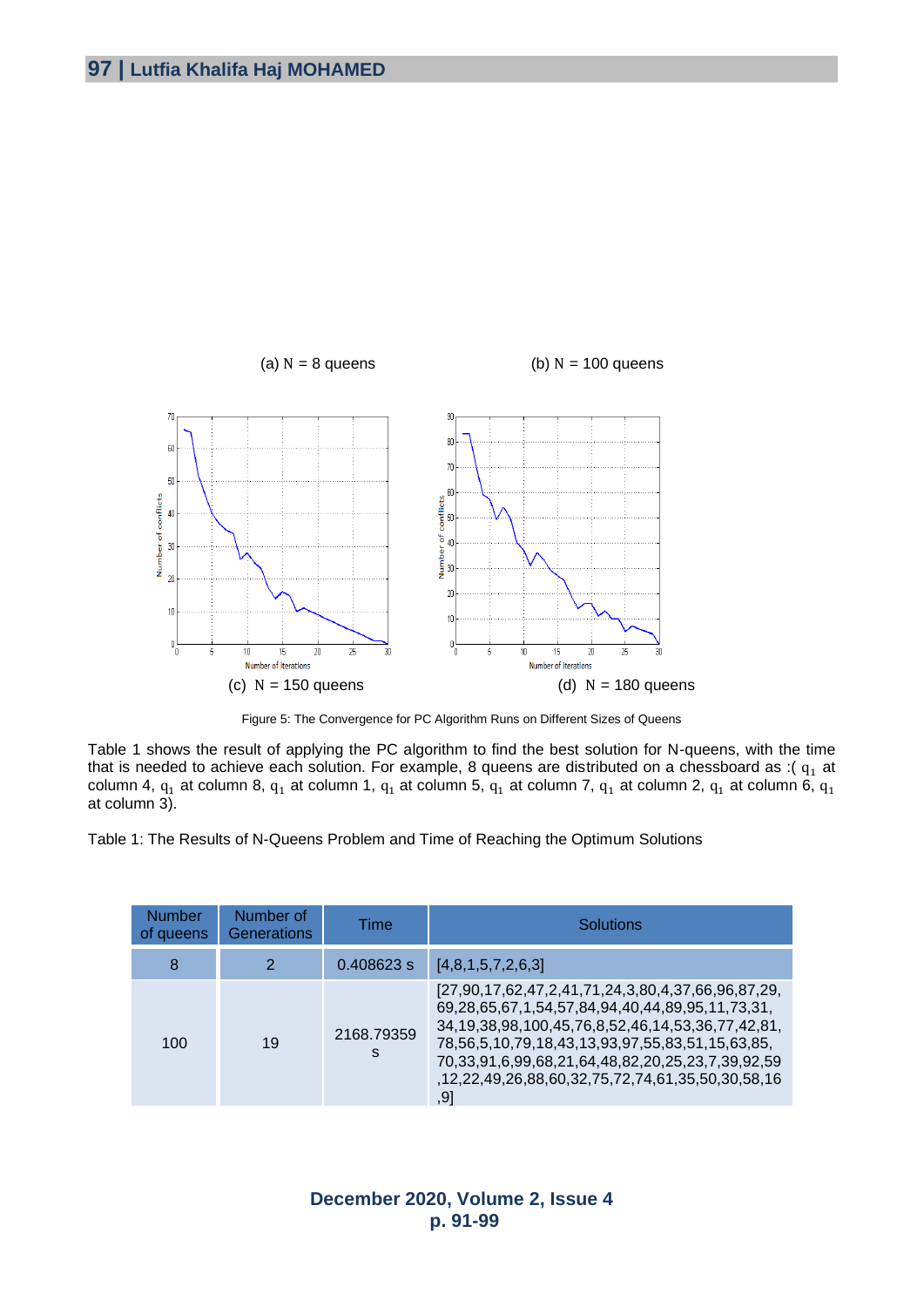

Figure 5: The Convergence for PC Algorithm Runs on Different Sizes of Queens

Table 1 shows the result of applying the PC algorithm to find the best solution for N-queens, with the time that is needed to achieve each solution. For example, 8 queens are distributed on a chessboard as :( $q_1$  at column 4,  $q_1$  at column 8,  $q_1$  at column 1,  $q_1$  at column 5,  $q_1$  at column 7,  $q_1$  at column 2,  $q_1$  at column 6,  $q_1$ at column 3).

Table 1: The Results of N-Queens Problem and Time of Reaching the Optimum Solutions

| <b>Number</b><br>of queens | Number of<br><b>Generations</b> | Time            | Solutions                                                                                                                                                                                                                                                                                                                                 |
|----------------------------|---------------------------------|-----------------|-------------------------------------------------------------------------------------------------------------------------------------------------------------------------------------------------------------------------------------------------------------------------------------------------------------------------------------------|
| 8                          | 2                               | 0.408623 s      | [4,8,1,5,7,2,6,3]                                                                                                                                                                                                                                                                                                                         |
| 100                        | 19                              | 2168.79359<br>s | [27,90,17,62,47,2,41,71,24,3,80,4,37,66,96,87,29,<br>69,28,65,67,1,54,57,84,94,40,44,89,95,11,73,31,<br>34, 19, 38, 98, 100, 45, 76, 8, 52, 46, 14, 53, 36, 77, 42, 81,<br>78,56,5,10,79,18,43,13,93,97,55,83,51,15,63,85,<br>70,33,91,6,99,68,21,64,48,82,20,25,23,7,39,92,59<br>,12,22,49,26,88,60,32,75,72,74,61,35,50,30,58,16<br>,91 |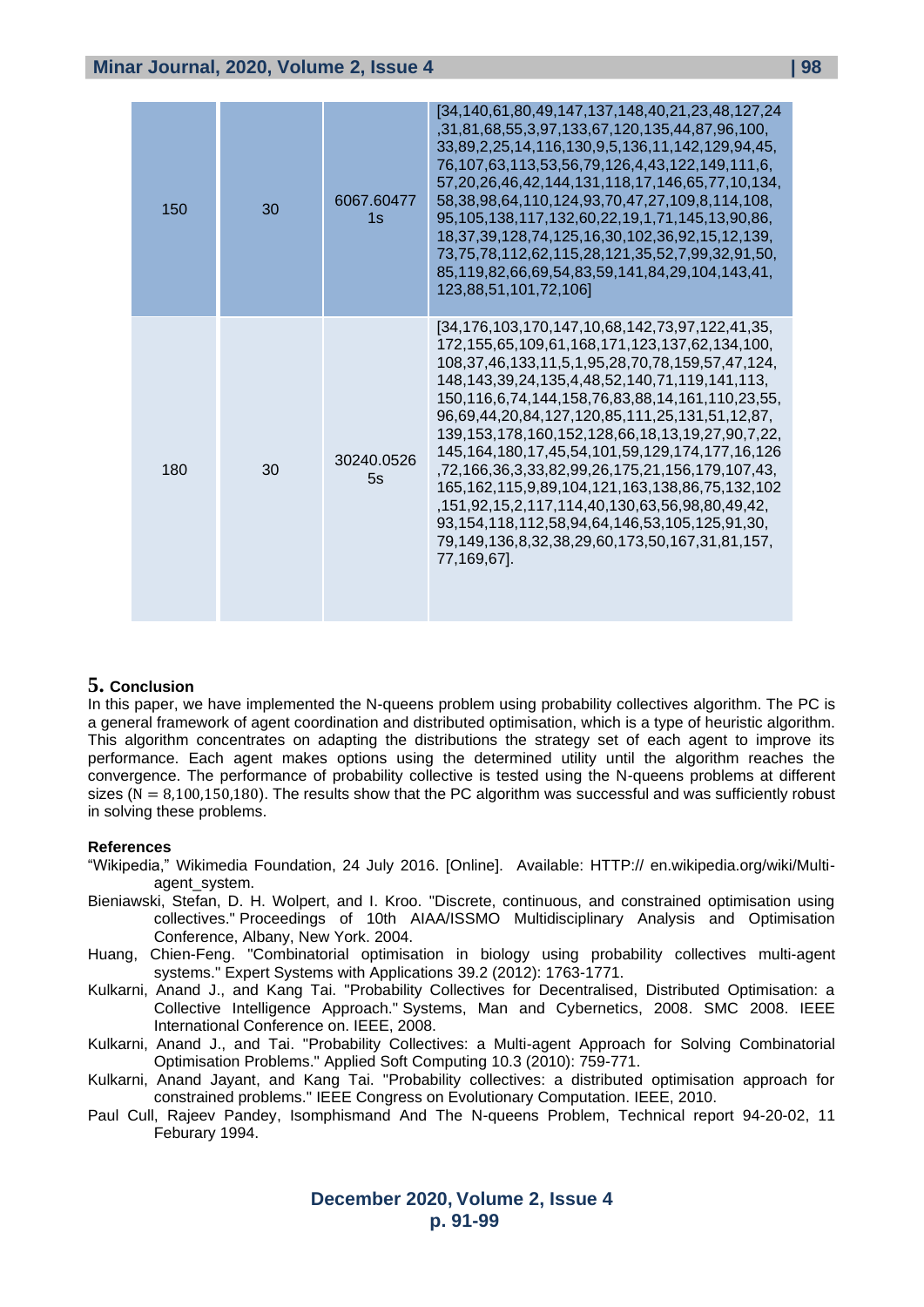| 150 | 30 | 6067.60477<br>1s | [34,140,61,80,49,147,137,148,40,21,23,48,127,24<br>,31,81,68,55,3,97,133,67,120,135,44,87,96,100,<br>33,89,2,25,14,116,130,9,5,136,11,142,129,94,45,<br>76,107,63,113,53,56,79,126,4,43,122,149,111,6,<br>57, 20, 26, 46, 42, 144, 131, 118, 17, 146, 65, 77, 10, 134,<br>58, 38, 98, 64, 110, 124, 93, 70, 47, 27, 109, 8, 114, 108,<br>95,105,138,117,132,60,22,19,1,71,145,13,90,86,<br>18, 37, 39, 128, 74, 125, 16, 30, 102, 36, 92, 15, 12, 139,<br>73,75,78,112,62,115,28,121,35,52,7,99,32,91,50,<br>85,119,82,66,69,54,83,59,141,84,29,104,143,41,<br>123,88,51,101,72,106]                                                                                                                                                                                                                    |
|-----|----|------------------|---------------------------------------------------------------------------------------------------------------------------------------------------------------------------------------------------------------------------------------------------------------------------------------------------------------------------------------------------------------------------------------------------------------------------------------------------------------------------------------------------------------------------------------------------------------------------------------------------------------------------------------------------------------------------------------------------------------------------------------------------------------------------------------------------------|
| 180 | 30 | 30240.0526<br>5s | [34,176,103,170,147,10,68,142,73,97,122,41,35,<br>172, 155, 65, 109, 61, 168, 171, 123, 137, 62, 134, 100,<br>108, 37, 46, 133, 11, 5, 1, 95, 28, 70, 78, 159, 57, 47, 124,<br>148, 143, 39, 24, 135, 4, 48, 52, 140, 71, 119, 141, 113,<br>150, 116, 6, 74, 144, 158, 76, 83, 88, 14, 161, 110, 23, 55,<br>96,69,44,20,84,127,120,85,111,25,131,51,12,87,<br>139, 153, 178, 160, 152, 128, 66, 18, 13, 19, 27, 90, 7, 22,<br>145, 164, 180, 17, 45, 54, 101, 59, 129, 174, 177, 16, 126<br>,72,166,36,3,33,82,99,26,175,21,156,179,107,43,<br>165, 162, 115, 9, 89, 104, 121, 163, 138, 86, 75, 132, 102<br>, 151, 92, 15, 2, 117, 114, 40, 130, 63, 56, 98, 80, 49, 42,<br>93, 154, 118, 112, 58, 94, 64, 146, 53, 105, 125, 91, 30,<br>79,149,136,8,32,38,29,60,173,50,167,31,81,157,<br>77.169.671. |

### **5. Conclusion**

In this paper, we have implemented the N-queens problem using probability collectives algorithm. The PC is a general framework of agent coordination and distributed optimisation, which is a type of heuristic algorithm. This algorithm concentrates on adapting the distributions the strategy set of each agent to improve its performance. Each agent makes options using the determined utility until the algorithm reaches the convergence. The performance of probability collective is tested using the N-queens problems at different sizes ( $N = 8,100,150,180$ ). The results show that the PC algorithm was successful and was sufficiently robust in solving these problems.

#### **References**

- "Wikipedia," Wikimedia Foundation, 24 July 2016. [Online]. Available: HTTP:// en.wikipedia.org/wiki/Multiagent\_system.
- Bieniawski, Stefan, D. H. Wolpert, and I. Kroo. "Discrete, continuous, and constrained optimisation using collectives." Proceedings of 10th AIAA/ISSMO Multidisciplinary Analysis and Optimisation Conference, Albany, New York. 2004.
- Huang, Chien-Feng. "Combinatorial optimisation in biology using probability collectives multi-agent systems." Expert Systems with Applications 39.2 (2012): 1763-1771.
- Kulkarni, Anand J., and Kang Tai. "Probability Collectives for Decentralised, Distributed Optimisation: a Collective Intelligence Approach." Systems, Man and Cybernetics, 2008. SMC 2008. IEEE International Conference on. IEEE, 2008.
- Kulkarni, Anand J., and Tai. "Probability Collectives: a Multi-agent Approach for Solving Combinatorial Optimisation Problems." Applied Soft Computing 10.3 (2010): 759-771.
- Kulkarni, Anand Jayant, and Kang Tai. "Probability collectives: a distributed optimisation approach for constrained problems." IEEE Congress on Evolutionary Computation. IEEE, 2010.
- Paul Cull, Rajeev Pandey, Isomphismand And The N-queens Problem, Technical report 94-20-02, 11 Feburary 1994.